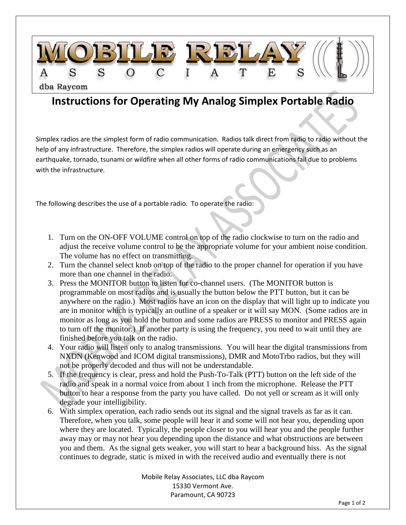

## **Instructions for Operating My Analog Simplex Portable Radio**

Simplex radios are the simplest form of radio communication. Radios talk direct from radio to radio without the help of any infrastructure. Therefore, the simplex radios will operate during an emergency such as an earthquake, tornado, tsunami or wildfire when all other forms of radio communications fail due to problems with the infrastructure.

The following describes the use of a portable radio. To operate the radio:

- 1. Turn on the ON-OFF VOLUME control on top of the radio clockwise to turn on the radio and adjust the receive volume control to be the appropriate volume for your ambient noise condition. The volume has no effect on transmitting.
- 2. Turn the channel select knob on top of the radio to the proper channel for operation if you have more than one channel in the radio.
- 3. Press the MONITOR button to listen for co-channel users. (The MONITOR button is programmable on most radios and is usually the button below the PTT button, but it can be anywhere on the radio.) Most radios have an icon on the display that will light up to indicate you are in monitor which is typically an outline of a speaker or it will say MON. (Some radios are in monitor as long as you hold the button and some radios are PRESS to monitor and PRESS again to turn off the monitor.) If another party is using the frequency, you need to wait until they are finished before you talk on the radio.
- 4. Your radio will listen only to analog transmissions. You will hear the digital transmissions from NXDN (Kenwood and ICOM digital transmissions), DMR and MotoTrbo radios, but they will not be properly decoded and thus will not be understandable.
- 5. If the frequency is clear, press and hold the Push-To-Talk (PTT) button on the left side of the radio and speak in a normal voice from about 1 inch from the microphone. Release the PTT button to hear a response from the party you have called. Do not yell or scream as it will only degrade your intelligibility.
- 6. With simplex operation, each radio sends out its signal and the signal travels as far as it can. Therefore, when you talk, some people will hear it and some will not hear you, depending upon where they are located. Typically, the people closer to you will hear you and the people further away may or may not hear you depending upon the distance and what obstructions are between you and them. As the signal gets weaker, you will start to hear a background hiss. As the signal continues to degrade, static is mixed in with the received audio and eventually there is not

Mobile Relay Associates, LLC dba Raycom 15330 Vermont Ave. Paramount, CA 90723